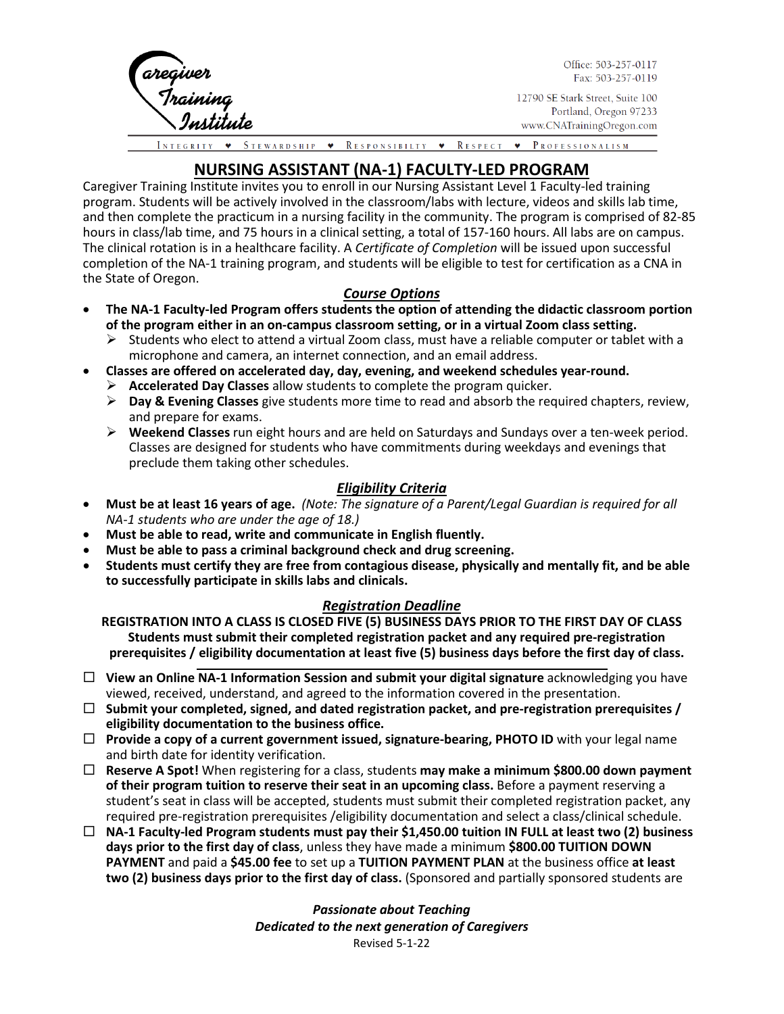

Office: 503-257-0117 Fax: 503-257-0119

12790 SE Stark Street, Suite 100 Portland, Oregon 97233 www.CNATrainingOregon.com

STEWARDSHIP • RESPONSIBILTY • RESPECT • PROFESSIONALISM

# **NURSING ASSISTANT (NA-1) FACULTY-LED PROGRAM**

Caregiver Training Institute invites you to enroll in our Nursing Assistant Level 1 Faculty-led training program. Students will be actively involved in the classroom/labs with lecture, videos and skills lab time, and then complete the practicum in a nursing facility in the community. The program is comprised of 82-85 hours in class/lab time, and 75 hours in a clinical setting, a total of 157-160 hours. All labs are on campus. The clinical rotation is in a healthcare facility. A *Certificate of Completion* will be issued upon successful completion of the NA-1 training program, and students will be eligible to test for certification as a CNA in the State of Oregon.

# *Course Options*

- **The NA-1 Faculty-led Program offers students the option of attending the didactic classroom portion of the program either in an on-campus classroom setting, or in a virtual Zoom class setting.**
	- $\triangleright$  Students who elect to attend a virtual Zoom class, must have a reliable computer or tablet with a microphone and camera, an internet connection, and an email address.
	- **Classes are offered on accelerated day, day, evening, and weekend schedules year-round.**
	- **Accelerated Day Classes** allow students to complete the program quicker.
	- **Day & Evening Classes** give students more time to read and absorb the required chapters, review, and prepare for exams.
	- **Weekend Classes** run eight hours and are held on Saturdays and Sundays over a ten-week period. Classes are designed for students who have commitments during weekdays and evenings that preclude them taking other schedules.

# *Eligibility Criteria*

- **Must be at least 16 years of age.** *(Note: The signature of a Parent/Legal Guardian is required for all NA-1 students who are under the age of 18.)*
- **Must be able to read, write and communicate in English fluently.**
- **Must be able to pass a criminal background check and drug screening.**
- **Students must certify they are free from contagious disease, physically and mentally fit, and be able to successfully participate in skills labs and clinicals.**

# *Registration Deadline*

**REGISTRATION INTO A CLASS IS CLOSED FIVE (5) BUSINESS DAYS PRIOR TO THE FIRST DAY OF CLASS Students must submit their completed registration packet and any required pre-registration prerequisites / eligibility documentation at least five (5) business days before the first day of class.**

- **View an Online NA-1 Information Session and submit your digital signature** acknowledging you have viewed, received, understand, and agreed to the information covered in the presentation.
- **Submit your completed, signed, and dated registration packet, and pre-registration prerequisites / eligibility documentation to the business office.**
- **Provide a copy of a current government issued, signature-bearing, PHOTO ID** with your legal name and birth date for identity verification.
- **Reserve A Spot!** When registering for a class, students **may make a minimum \$800.00 down payment of their program tuition to reserve their seat in an upcoming class.** Before a payment reserving a student's seat in class will be accepted, students must submit their completed registration packet, any required pre-registration prerequisites /eligibility documentation and select a class/clinical schedule.
- **NA-1 Faculty-led Program students must pay their \$1,450.00 tuition IN FULL at least two (2) business days prior to the first day of class**, unless they have made a minimum **\$800.00 TUITION DOWN PAYMENT** and paid a **\$45.00 fee** to set up a **TUITION PAYMENT PLAN** at the business office **at least two (2) business days prior to the first day of class.** (Sponsored and partially sponsored students are

*Passionate about Teaching Dedicated to the next generation of Caregivers* Revised 5-1-22